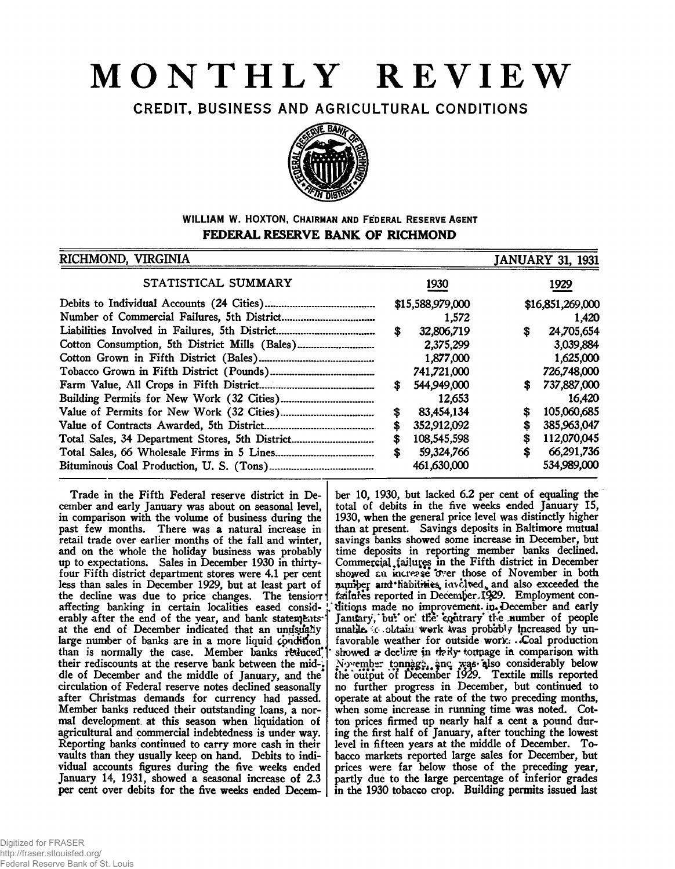# **MONTHLY REVIEW**

CREDIT, BUSINESS AND AGRICULTURAL CONDITIONS



# **WILLIAM W. HOXTON, CHAIRMAN AND FEDERAL RESERVE AGENT FEDERAL RESERVE BANK OF RICHMOND**

| RICHMOND, VIRGINIA                             |    |                  |    | <b>JANUARY 31, 1931</b> |
|------------------------------------------------|----|------------------|----|-------------------------|
| STATISTICAL SUMMARY                            |    | 1930             |    | 1929                    |
|                                                |    | \$15,588,979,000 |    | \$16,851,269,000        |
|                                                |    | 1.572            |    | 1,420                   |
|                                                | S  | 32,806,719       | \$ | 24,705,654              |
| Cotton Consumption, 5th District Mills (Bales) |    | 2,375,299        |    | 3,039,884               |
|                                                |    | 1,877,000        |    | 1,625,000               |
|                                                |    | 741,721,000      |    | 726,748,000             |
|                                                | S  | 544,949,000      | S  | 737,887,000             |
|                                                |    | 12,653           |    | 16,420                  |
|                                                | \$ | 83,454,134       | \$ | 105,060,685             |
|                                                | \$ | 352,912,092      |    | 385,963,047             |
|                                                | \$ | 108,545,598      | \$ | 112,070,045             |
|                                                | \$ | 59,324,766       |    | 66,291,736              |
|                                                |    | 461,630,000      |    | 534,989,000             |

Trade in the Fifth Federal reserve district in December and early January was about on seasonal level, in comparison with the volume of business during the past few months. There was a natural increase in retail trade over earlier months of the fall and winter, and on the whole the holiday business was probably up to expectations. Sales in December 1930 in thirtyfour Fifth district department stores were 4.1 per cent less than sales in December 1929, but at least part of the decline was due to price changes. The tension affecting banking in certain localities eased considerably after the end of the year, and bank statements<sup>\*</sup> at the end of December indicated that an undsually large number of banks are in a more liquid condition than is normally the case. Member banks reduced<sup>\*</sup> their rediscounts at the reserve bank between the mid-; dle of December and the middle of January, and the circulation of Federal reserve notes declined seasonally after Christmas demands for currency had passed. Member banks reduced their outstanding loans, a normal development at this season when liquidation of agricultural and commercial indebtedness is under way. Reporting banks continued to carry more cash in their vaults than they usually keep on hand. Debits to individual accounts figures during the five weeks ended January 14, 1931, showed a seasonal increase of 2.3 per cent over debits for the five weeks ended Decem-

ber 10, 1930, but lacked 6.2 per cent of equaling the total of debits in the five weeks ended January IS, 1930, when the general price level was distinctly higher than at present. Savings deposits in Baltimore mutual savings banks showed some increase in December, but time deposits in reporting member banks declined. Commercial failures in the Fifth district in December showed an increase over those of November in both number and tabilities involved, and also exceeded the \* ferifafes reported in Decem£er\*I\$29. Employment con ditions made no improvement in December and early January, but on the contrary the number of people unatile. .c obtain work was probably increased by unfavorable weather for outside work. . Coal production showed a decline in *theily* tomage in comparison with November tonnage, and was also considerably below the output of December 1929. Textile mills reported no further progress in December, but continued to operate at about the rate of the two preceding months, when some increase in running time was noted. Cotton prices firmed up nearly half a cent a pound during the first half of January, after touching the lowest level in fifteen years at the middle of December. Tobacco markets reported large sales for December, but prices were far below those of the preceding year, partly due to the large percentage of inferior grades in the 1930 tobacco crop. Building permits issued last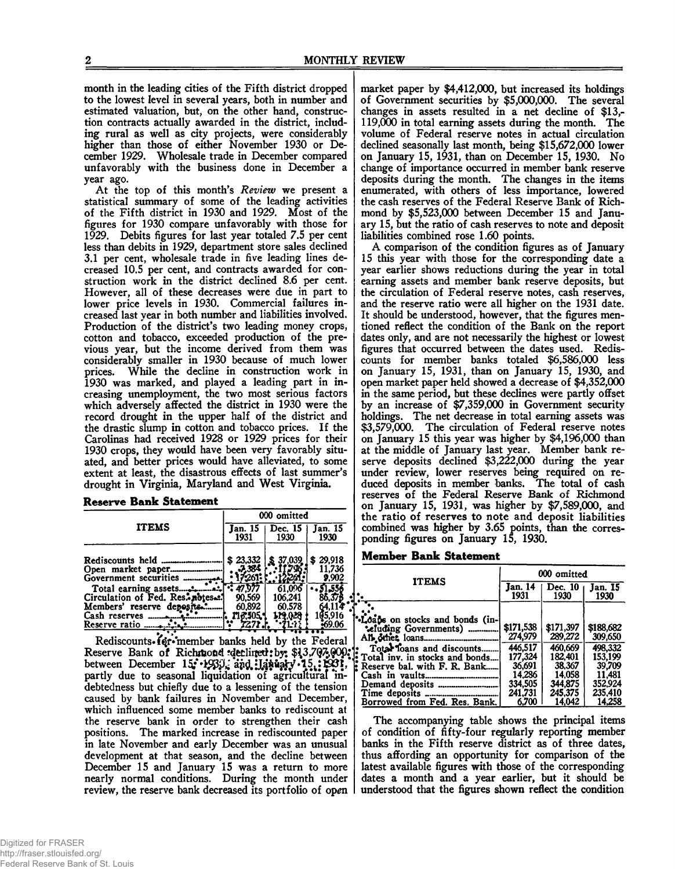month in the leading cities of the Fifth district dropped to the lowest level in several years, both in number and estimated valuation, but, on the other hand, construction contracts actually awarded in the district, including rural as well as city projects, were considerably higher than those of either November 1930 or December 1929. Wholesale trade in December compared unfavorably with the business done in December a year ago.

At the top of this month's *Review* we present a statistical summary of some of the leading activities of the Fifth district in 1930 and 1929. Most of the figures for 1930 compare unfavorably with those for 1929. Debits figures for last year totaled 7.5 per cent less than debits in 1929, department store sales declined 3.1 per cent, wholesale trade in five leading lines decreased 10.5 per cent, and contracts awarded for construction work in the district declined 8.6 per cent. However, all of these decreases were due in part to lower price levels in 1930. Commercial failures increased last year in both number and liabilities involved. Production of the district's two leading money crops, cotton and tobacco, exceeded production of the previous year, but the income derived from them was considerably smaller in 1930 because of much lower prices. While the decline in construction work in 1930 was marked, and played a leading part in increasing unemployment, the two most serious factors which adversely affected the district in 1930 were the record drought in the upper half of the district and the drastic slump in cotton and tobacco prices. If the Carolinas had received 1928 or 1929 prices for their 1930 crops, they would have been very favorably situated, and better prices would have alleviated, to some extent at least, the disastrous effects of last summer's drought in Virginia, Maryland and West Virginia.

#### **Reserve Bank Statement**

|                                                                                                              | 000 omitted                                                |                                                  |                                                |  |  |  |
|--------------------------------------------------------------------------------------------------------------|------------------------------------------------------------|--------------------------------------------------|------------------------------------------------|--|--|--|
| <b>ITEMS</b>                                                                                                 | Jan. 15<br>1931                                            | Dec. 15<br>1930                                  | Jan. 15<br>1930                                |  |  |  |
| Government securities<br>Total earning assets<br>Circulation of Fed. Res. notes<br>Members' reserve deposits | \$23.332<br>-7,384<br>-261<br>90.569<br>60.892<br>116.505. | 37,039<br>61.096<br>106.241<br>60,578<br>119.028 | \$29,918<br>11.736<br>9.902<br>51.55<br>05.916 |  |  |  |
|                                                                                                              |                                                            |                                                  | :69.06                                         |  |  |  |

Reserve Bank of Richmond ?detlined: by: \$13,707,§00; between December 15: 1933, partly due to seasonal liquidation of agricultural 'indebtedness but chiefly due to a lessening of the tension caused by bank failures in November and December, which influenced some member banks to rediscount at the reserve bank in order to strengthen their cash positions. The marked increase in rediscounted paper in late November and early December was an unusual development at that season, and the decline between December 15 and January 15 was a return to more nearly normal conditions. During the month under review, the reserve bank decreased its portfolio of open

market paper by \$4,412,000, but increased its holdings of Government securities by \$5,000,000. The several changes in assets resulted in a net decline of \$13,- 119,000 in total earning assets during the month. The volume of Federal reserve notes in actual circulation declined seasonally last month, being \$15,672,000 lower on January 15, 1931, than on December 15, 1930. No change of importance occurred in member bank reserve deposits during the month. The changes in the items enumerated, with others of less importance, lowered the cash reserves of the Federal Reserve Bank of Richmond by \$5,523,000 between December 15 and January 15, but the ratio of cash reserves to note and deposit liabilities combined rose 1.60 points.

A comparison of the condition figures as of January 15 this year with those for the corresponding date a year earlier shows reductions during the year in total earning assets and member bank reserve deposits, but the circulation of Federal reserve notes, cash reserves, and the reserve ratio were all higher on the 1931 date. It should be understood, however, that the figures mentioned reflect the condition of the Bank on the report dates only, and are not necessarily the highest or lowest figures that occurred between the dates used. Rediscounts for member banks totaled \$6,586,000 less on January 15, 1931, than on January 15, 1930, and open market paper held showed a decrease of \$4,352,000 in the same period, but these declines were partly offset by an increase of \$7,359,000 in Government security holdings. The net decrease in total earning assets was \$3,579,000. The circulation of Federal reserve notes on January 15 this year was higher by \$4,196,000 than at the middle of January last year. Member bank reserve deposits declined \$3,222,000 during the year under review, lower reserves being required on reduced deposits in member banks. The total of cash reserves of the Federal Reserve Bank of Richmond on January 15, 1931, was higher by \$7,589,000, and the ratio of reserves to note and deposit liabilities combined was higher by 3.65 points, than the corresponding figures on January 15, 1930.

#### **Member Bank Statement**

|                                                                                                                                                                                                                                                 | 000 omitted                                                                                   |                                                                                                |                                                                                                |  |  |  |
|-------------------------------------------------------------------------------------------------------------------------------------------------------------------------------------------------------------------------------------------------|-----------------------------------------------------------------------------------------------|------------------------------------------------------------------------------------------------|------------------------------------------------------------------------------------------------|--|--|--|
| <b>ITEMS</b>                                                                                                                                                                                                                                    | Jan. 14<br>1931                                                                               | Dec. 10<br>1930                                                                                | Jan. I5<br>1930                                                                                |  |  |  |
| *Loans on stocks and bonds (in-<br>"eluding Governments)<br>Total Toans and discounts<br>Total inv. in stocks and bonds<br>Reserve bal. with F. R. Bank<br>Time deposits<br>----------------------------------<br>Borrowed from Fed. Res. Bank. | \$171,538<br>274,979<br>446.517<br>177,324<br>36.691<br>14.286<br>334.505<br>241.731<br>6.700 | \$171,397<br>289,272<br>460.669<br>182.401<br>38,367<br>14,058<br>344,875<br>245,375<br>14.042 | \$188,682<br>309,650<br>498,332<br>153.199<br>39,709<br>11.481<br>352.924<br>235.410<br>14.258 |  |  |  |

The accompanying table shows the principal items of condition of fifty-four regularly reporting member banks in the Fifth reserve district as of three dates, thus affording an opportunity for comparison of the latest available figures with those of the corresponding dates a month and a year earlier, but it should be understood that the figures shown reflect the condition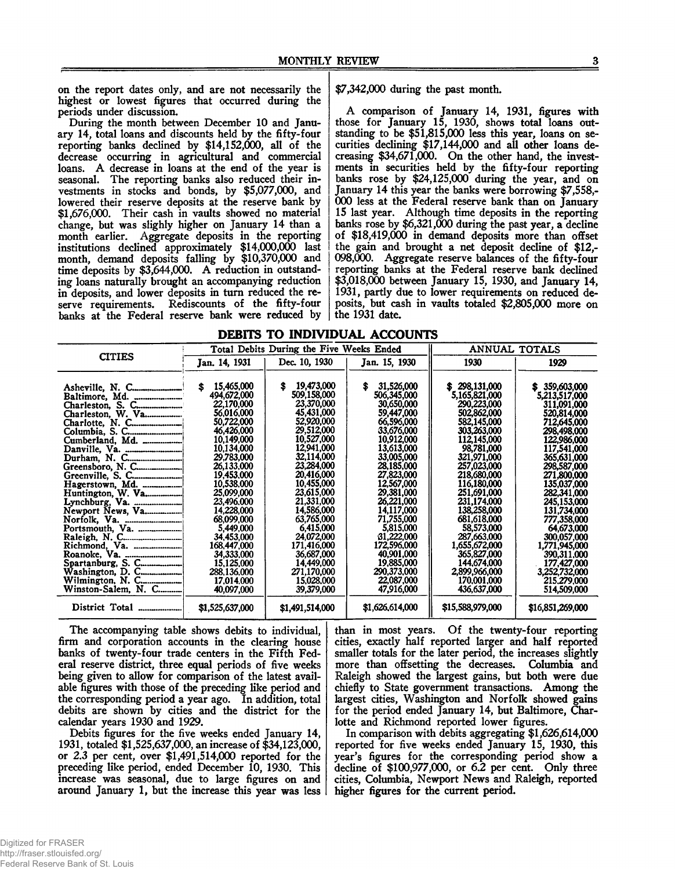on the report dates only, and are not necessarily the highest or lowest figures that occurred during the periods under discussion.

During the month between December 10 and January 14, total loans and discounts held by the fifty-four reporting banks declined by \$14,152,000, all of the decrease occurring in agricultural and commercial loans. A decrease in loans at the end of the year is seasonal. The reporting banks also reduced their investments in stocks and bonds, by \$5,077,000, and lowered their reserve deposits at the reserve bank by \$1,676,000. Their cash in vaults showed no material change, but was slighly higher on January 14 than a month earlier. Aggregate deposits in the reporting institutions declined approximately \$14,000,000 last month, demand deposits falling by \$10,370,000 and time deposits by \$3,644,000. A reduction in outstanding loans naturally brought an accompanying reduction in deposits, and lower deposits in turn reduced the reserve requirements. Rediscounts of the fifty-four banks at the Federal reserve bank were reduced by \$7,342,000 during the past month.

A comparison of January 14, 1931, figures with those for January 15, 1930, shows total loans outstanding to be \$51,815,000 less this year, loans on securities declining \$17,144,000 and all other loans decreasing \$34,671,000. On the other hand, the investments in securities held by the fifty-four reporting banks rose by \$24,125,000 during the year, and on January 14 this year the banks were borrowing \$7,558,- 000 less at the Federal reserve bank than on January 15 last year. Although time deposits in the reporting banks rose by  $$6,321,000$  during the past year, a decline of \$18,419,000 in demand deposits more than offset the gain and brought a net deposit decline of \$12,- 098,000. Aggregate reserve balances of the fifty-four reporting banks at the Federal reserve bank declined \$3,018,000 between January 15, 1930, and January 14, 1931, partly due to lower requirements on reduced deposits, but cash in vaults totaled \$2,805,000 more on the 1931 date.

|  |  | DEBITS TO INDIVIDUAL ACCOUNTS |
|--|--|-------------------------------|
|  |  |                               |

|                     |                 | Total Debits During the Five Weeks Ended |                 | <b>ANNUAL TOTALS</b> |                                |  |  |  |
|---------------------|-----------------|------------------------------------------|-----------------|----------------------|--------------------------------|--|--|--|
| <b>CITIES</b>       | Jan. 14, 1931   | Dec. 10, 1930                            | Jan. 15, 1930   | 1930                 | 1929                           |  |  |  |
|                     |                 |                                          |                 |                      |                                |  |  |  |
|                     | 15,465,000<br>S | 19,473,000<br>S                          | s<br>31,526,000 | 298,131,000<br>S.    |                                |  |  |  |
|                     | 494,672,000     | 509,158,000                              | 506,345,000     | 5,165,821,000        | \$359,603,000<br>5,213,517,000 |  |  |  |
|                     | 22,170,000      | 23,370,000                               | 30,650,000      | 290,223,000          | 311,091,000                    |  |  |  |
| Charleston, S. C.   | 56,016,000      | 45,431,000                               | 59,447,000      | 502,862,000          | 520,814,000                    |  |  |  |
|                     | 50,722,000      | 52,920,000                               | 66,596,000      | 582,145,000          | 712,645,000                    |  |  |  |
| Charlotte, N. C     | 46,426,000      | 29,512,000                               | 33,676,000      | 303,263,000          | 298.498.000                    |  |  |  |
| Cumberland, Md.     | 10.149.000      | 10,527,000                               | 10.912.000      | 112,145,000          | 122,986,000                    |  |  |  |
|                     | 10,134,000      | 12,941,000                               | 13,613,000      | 98,781,000           | 117,541,000                    |  |  |  |
|                     | 29.783,000      | 32,114,000                               | 33,005,000      | 321,971,000          | 365,631,000                    |  |  |  |
|                     | 26.133.000      | 23,284,000                               | 28,185,000      | 257,023,000          | 298,587,000                    |  |  |  |
|                     | 19,453,000      | 20,416,000                               | 27,823,000      | 218,680,000          | 271,800,000                    |  |  |  |
| Hagerstown, Md.     | 10.538.000      | 10,455,000                               | 12,567,000      | 116,180,000          | 135,037,000                    |  |  |  |
| Huntington, W. Va.  | 25,099,000      | 23,615,000                               | 29,381,000      | 251,691,000          | 282,341,000                    |  |  |  |
|                     | 23,496,000      | 21,331,000                               | 26,221,000      | 231,174,000          | 245,153,000                    |  |  |  |
| Newport News, Va    | 14,228,000      | 14,586,000                               | 14,117,000      | 138,258,000          | 131,734,000                    |  |  |  |
|                     | 68.099.000      | 63,765,000                               | 71,755,000      | 681,618,000          | 777,358,000                    |  |  |  |
|                     | 5.449.000       | 6,415,000                                | 5,815,000       | 58,573,000           | 64.673,000                     |  |  |  |
|                     | 34.453,000      | 24,072,000                               | 31.222,000      | 287,663,000          | 300,057,000                    |  |  |  |
| Richmond, Va.       | 168,447,000     | 171,416,000                              | 172,596,000     | 1,655,672,000        | 1,771,945,000                  |  |  |  |
|                     | 34,333,000      | 36,687,000                               | 40.901.000      | 365,827,000          | 390.311,000                    |  |  |  |
|                     | 15,125,000      | 14,449,000                               | 19,885,000      | 144.674.000          | 177,427,000                    |  |  |  |
|                     | 288,136,000     | 271.170.000                              | 290,373,000     | 2,899,966,000        | 3,252,732,000                  |  |  |  |
| Wilmington, N. C    | 17.014.000      | 15,028,000                               | 22,087,000      | 170,001,000          | 215,279,000                    |  |  |  |
| Winston-Salem, N. C | 40,097,000      | 39,379,000                               | 47,916,000      | 436,637,000          | 514,509,000                    |  |  |  |
| District Total      | \$1,525,637,000 | \$1,491,514,000                          | \$1,626,614,000 | \$15,588,979,000     | \$16,851,269,000               |  |  |  |

The accompanying table shows debits to individual, firm and corporation accounts in the clearing house banks of twenty-four trade centers in the Fifth Federal reserve district, three equal periods of five weeks being given to allow for comparison of the latest available figures with those of the preceding like period and the corresponding period a year ago. In addition, total debits are shown by cities and the district for the calendar years 1930 and 1929.

Debits figures for the five weeks ended January 14, 1931, totaled \$1,525,637,000, an increase of \$34,123,000, or 2.3 per cent, over \$1,491,514,000 reported for the preceding like period, ended December 10, 1930. This increase was seasonal, due to large figures on and around January 1, but the increase this year was less than in most years. Of the twenty-four reporting cities, exactly half reported larger and half reported smaller totals for the later period, the increases slightly more than offsetting the decreases. Columbia and Raleigh showed the largest gains, but both were due chiefly to State government transactions. Among the largest cities, Washington and Norfolk showed gains for the period ended January 14, but Baltimore, Charlotte and Richmond reported lower figures.

In comparison with debits aggregating \$1,626,614,000 reported for five weeks ended January 15, 1930, this year's figures for the corresponding period show a decline of \$100,977,000, or 6.2 per cent. Only three cities, Columbia, Newport News and Raleigh, reported higher figures for the current period.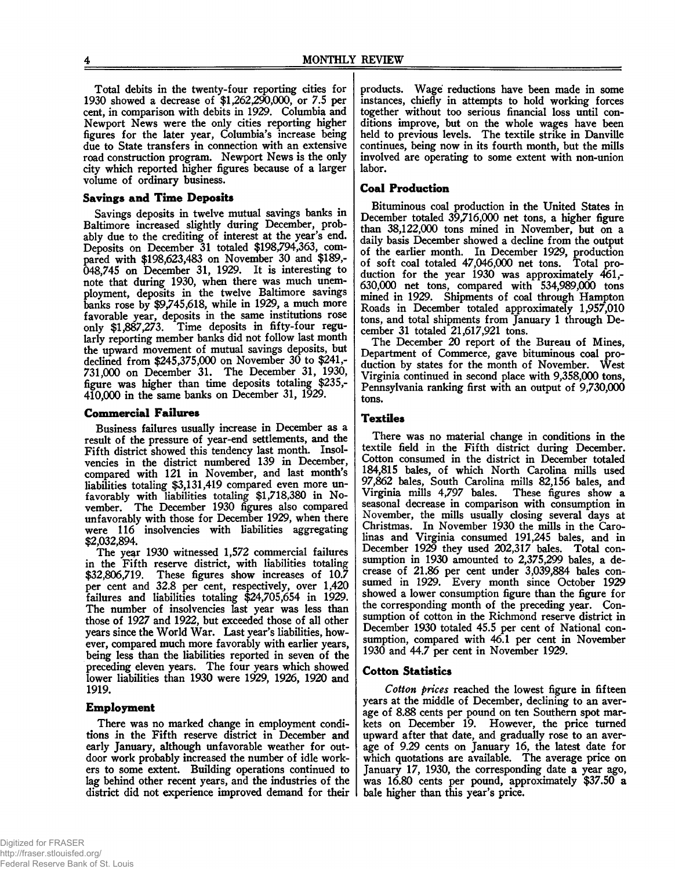Total debits in the twenty-four reporting cities for 1930 showed a decrease of \$1,262,290,000, or 7.5 per cent, in comparison with debits in 1929. Columbia and Newport News were the only cities reporting higher figures for the later year, Columbia's increase being due to State transfers in connection with an extensive road construction program. Newport News is the only city which reported higher figures because of a larger volume of ordinary business.

# **Savings and Time Deposits**

Savings deposits in twelve mutual savings banks in Baltimore increased slightly during December, probably due to the crediting of interest at the year's end. Deposits on December 31 totaled \$198,794,363, compared with \$198,623,483 on November 30 and \$189,- 048,745 on December 31, 1929. It is interesting to note that during 1930, when there was much unemployment, deposits in the twelve Baltimore savings banks rose by \$9,745,618, while in 1929, a much more favorable year, deposits in the same institutions rose only \$1,887,273. Time deposits in fifty-four regularly reporting member banks did not follow last month the upward movement of mutual savings deposits, but declined from \$245,375,000 on November 30 to \$241,- 731.000 on December 31. The December 31, 1930, figure was higher than time deposits totaling \$235,- 410.000 in the same banks on December 31, 1929.

#### **Commercial Failures**

Business failures usually increase in December as a result of the pressure of year-end settlements, and the Fifth district showed this tendency last month. Insolvencies in the district numbered 139 in December, compared with 121 in November, and last month's liabilities totaling \$3,131,419 compared even more unfavorably with liabilities totaling \$1,718,380 in November. The December 1930 figures also compared unfavorably with those for December 1929, when there were 116 insolvencies with liabilities aggregating \$2,032,894.

The year 1930 witnessed 1,572 commercial failures in the Fifth reserve district, with liabilities totaling \$32,806,719. These figures show increases of 10.7 These figures show increases of 10.7 per cent and 32.8 per cent, respectively, over 1,420 failures and liabilities totaling \$24,705,654 in 1929. The number of insolvencies last year was less than those of 1927 and 1922, but exceeded those of all other years since the World War. Last year's liabilities, however, compared much more favorably with earlier years, being less than the liabilities reported in seven of the preceding eleven years. The four years which showed lower liabilities than 1930 were 1929, 1926, 1920 and 1919.

## **Employment**

There was no marked change in employment conditions in the Fifth reserve district in December and early January, although unfavorable weather for outdoor work probably increased the number of idle workers to some extent. Building operations continued to lag behind other recent years, and the industries of the district did not experience improved demand for their products. Wage reductions have been made in some instances, chiefly in attempts to hold working forces together without too serious financial loss until conditions improve, but on the whole wages have been held to previous levels. The textile strike in Danville continues, being now in its fourth month, but the mills involved are operating to some extent with non-union labor.

# **Coal Production**

Bituminous coal production in the United States in December totaled 39,716,000 net tons, a higher figure than 38,122,000 tons mined in November, but on a daily basis December showed a decline from the output of the earlier month. In December 1929, production of soft coal totaled 47,046,000 net tons. Total production for the year 1930 was approximately 461,- 630,000 net tons, compared with 534,989,000 tons mined in 1929. Shipments of coal through Hampton Roads in December totaled approximately 1,957,010 tons, and total shipments from January 1 through December 31 totaled 21,617,921 tons.

The December 20 report of the Bureau of Mines, Department of Commerce, gave bituminous coal production by states for the month of November. West Virginia continued in second place with 9,358,000 tons, Pennsylvania ranking first with an output of 9,730,000 tons.

#### **Textiles**

There was no material change in conditions in the textile field in the Fifth district during December. Cotton consumed in the district in December totaled 184,815 bales, of which North Carolina mills used 97,862 bales, South Carolina mills 82,156 bales, and Virginia mills 4,797 bales. These figures show a seasonal decrease in comparison with consumption in November, the mills usually closing several days at Christmas. In November 1930 the mills in the Carolinas and Virginia consumed 191,245 bales, and in December 1929 they used 202,317 bales. Total consumption in 1930 amounted to 2,375,299 bales, a decrease of 21.86 per cent under 3,039,884 bales consumed in 1929. Every month since October 1929 showed a lower consumption figure than the figure for the corresponding month of the preceding year. Consumption of cotton in the Richmond reserve district in December 1930 totaled 45.5 per cent of National consumption, compared with 46.1 per cent in November 1930 and 44.7 per cent in November 1929.

## **Cotton Statistics**

*Cotton prices* reached the lowest figure in fifteen years at the middle of December, declining to an average of 8.88 cents per pound on ten Southern spot markets on December 19. However, the price turned upward after that date, and gradually rose to an average of 9.29 cents on January 16, the latest date for which quotations are available. The average price on January 17, 1930, the corresponding date a year ago, was 16.80 cents per pound, approximately \$37.50 a bale higher than this year's price.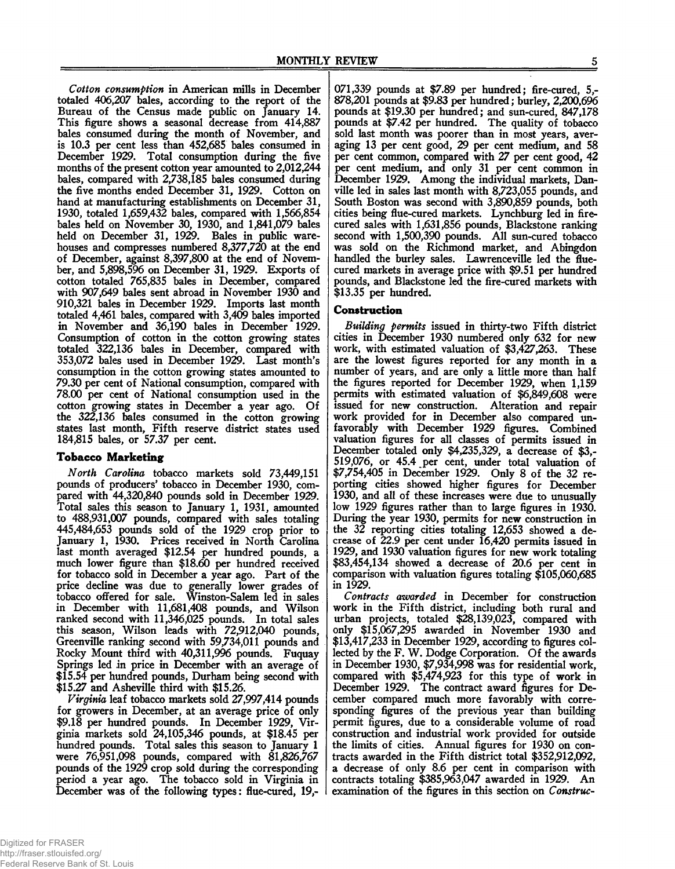*Cotton consumption* in American mills in December totaled 406,207 bales, according to the report of the Bureau of the Census made public on January 14. This figure shows a seasonal decrease from 414,887 bales consumed during the month of November, and is 10.3 per cent less than 452,685 bales consumed in December 1929. Total consumption during the five months of the present cotton year amounted to 2,012,244 bales, compared with 2,738,185 bales consumed during the five months ended December 31, 1929. Cotton on hand at manufacturing establishments on December 31, 1930, totaled 1,659,432 bales, compared with 1,566,854 bales held on November 30, 1930, and 1,841,079 bales held on December 31, 1929. Bales in public warehouses and compresses numbered 8,377,720 at the end of December, against 8,397,800 at the end of November, and 5,898,596 on December 31, 1929. Exports of cotton totaled 765,835 bales in December, compared with 907,649 bales sent abroad in November 1930 and 910,321 bales in December 1929. Imports last month totaled 4,461 bales, compared with 3,409 bales imported in November and 36,190 bales in December 1929. Consumption of cotton in the cotton growing states totaled 322,136 bales in December, compared with 353,072 bales used in December 1929. Last month's consumption in the cotton growing states amounted to 79.30 per cent of National consumption, compared with 78.00 per cent of National consumption used in the cotton growing states in December a year ago. Of the *322,136* bales consumed in the cotton growing states last month, Fifth reserve district states used 184,815 bales, or 57.37 per cent.

## **Tobacco M arketing**

*North Carolina* tobacco markets sold 73,449,151 pounds of producers' tobacco in December 1930, compared with 44,320,840 pounds sold in December 1929. Total sales this season to January 1, 1931, amounted to 488,931,007 pounds, compared with sales totaling 445,484,653 pounds sold of the 1929 crop prior to January 1, 1930. Prices received in North Carolina last month averaged \$12.54 per hundred pounds, a much lower figure than \$18.60 per hundred received for tobacco sold in December a year ago. Part of the price decline was due to generally lower grades of tobacco offered for sale. Winston-Salem led in sales in December with 11,681,408 pounds, and Wilson ranked second with 11,346,025 pounds. In total sales this season, Wilson leads with 72,912,040 pounds, Greenville ranking second with 59,734,011 pounds and Rocky Mount third with 40,311,996 pounds. Fuquay Springs led in price in December with an average of \$15.54 per hundred pounds, Durham being second with \$15.27 and Asheville third with \$15.26.

*Virginia* leaf tobacco markets sold 27,997,414 pounds for growers in December, at an average price of only \$9.18 per hundred pounds. In December 1929, Virginia markets sold 24,105,346 pounds, at \$18.45 per hundred pounds. Total sales this season to January 1 were  $76,951,098$  pounds, compared with  $81,826,767$ pounds of the 1929 crop sold during the corresponding period a year ago. The tobacco sold in Virginia in December was of the following types: flue-cured, 19,-

071,339 pounds at \$7.89 per hundred; fire-cured, 5,- 878,201 pounds at \$9.83 per hundred; burley, 2,200,696 pounds at \$19.30 per hundred; and sun-cured, 847,178 pounds at \$7.42 per hundred. The quality of tobacco sold last month was poorer than in most years, averaging 13 per cent good, 29 per cent medium, and 58 per cent common, compared with 27 per cent good, 42 per cent medium, and only 31 per cent common in December 1929. Among the individual markets, Danville led in sales last month with 8,723,055 pounds, and South Boston was second with 3,890,859 pounds, both cities being flue-cured markets. Lynchburg led in firecured sales with 1,631,856 pounds, Blackstone ranking second with 1,500,390 pounds. All sun-cured tobacco was sold on the Richmond market, and Abingdon handled the burley sales. Lawrenceville led the fluecured markets in average price with \$9.51 per hundred pounds, and Blackstone led the fire-cured markets with \$13.35 per hundred.

## **Construction**

*Building permits* issued in thirty-two Fifth district cities in December 1930 numbered only 632 for new work, with estimated valuation of \$3,427,263. These are the lowest figures reported for any month in a number of years, and are only a little more than half the figures reported for December 1929, when 1,159 permits with estimated valuation of \$6,849,608 were issued for new construction. Alteration and repair work provided for in December also compared unfavorably with December 1929 figures. Combined valuation figures for all classes of permits issued in December totaled only \$4,235,329, a decrease of \$3,- 519,076, or 45.4 per cent, under total valuation of \$7,754,405 in December 1929. Only 8 of the 32 reporting cities showed higher figures for December 1930, and all of these increases were due to unusually low 1929 figures rather than to large figures in 1930. During the year 1930, permits for new construction in the 32 reporting cities totaling 12,653 showed a decrease of 22.9 per cent under 16,420 permits issued in 1929, and 1930 valuation figures for new work totaling \$83,454,134 showed a decrease of 20.6 per cent in comparison with valuation figures totaling \$105,060,685 in 1929.

*Contracts awarded* in December for construction work in the Fifth district, including both rural and urban projects, totaled \$28,139,023, compared with only \$15,067,295 awarded in November 1930 and \$13,417,233 in December 1929, according to figures collected by the F. W. Dodge Corporation. Of the awards in December 1930, \$7,934,998 was for residential work, compared with \$5,474,923 for this type of work in December 1929. The contract award figures for December compared much more favorably with corresponding figures of the previous year than building permit figures, due to a considerable volume of road construction and industrial work provided for outside the limits of cities. Annual figures for 1930 on contracts awarded in the Fifth district total \$352,912,092, a decrease of only 8.6 per cent in comparison with contracts totaling \$385,963,047 awarded in 1929. An examination of the figures in this section on *Construe*-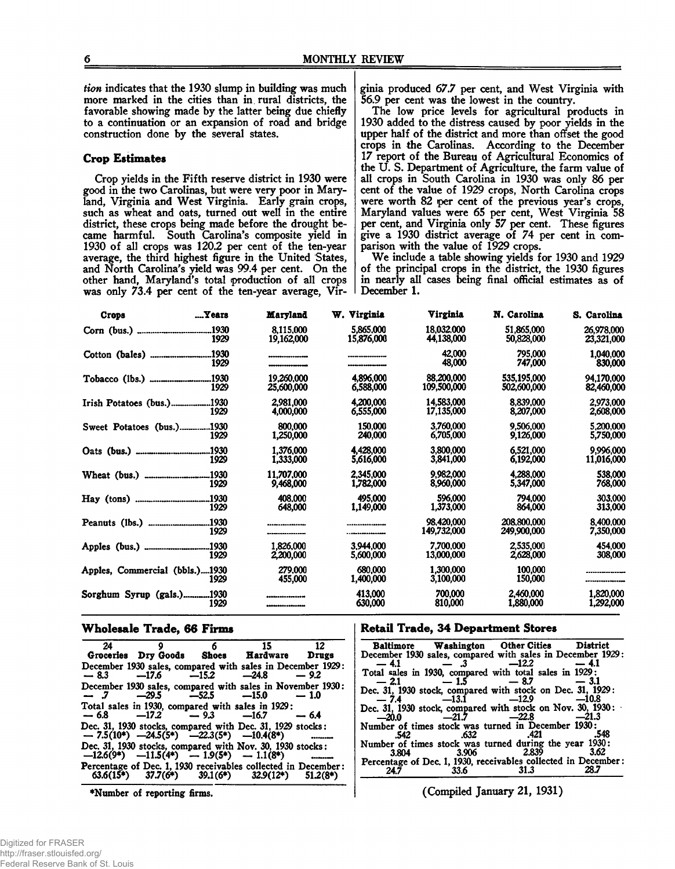*tion* indicates that the 1930 slump in building was much more marked in the cities than in rural districts, the favorable showing made by the latter being due chiefly to a continuation or an expansion of road and bridge construction done by the several states.

#### **Crop Estimates**

Crop yields in the Fifth reserve district in 1930 were good in the two Carolinas, but were very poor in Maryland, Virginia and West Virginia. Early grain crops, such as wheat and oats, turned out well in the entire district, these crops being made before the drought became harmful. South Carolina's composite yield in 1930 of all crops was 120.2 per cent of the ten-year average, the third highest figure in the United States, and North Carolina's yield was 99.4 per cent. On the other hand, Maryland's total production of all crops was only 73.4 per cent of the ten-year average, Virginia produced 67.7 per cent, and West Virginia with 56.9 per cent was the lowest in the country.

The low price levels for agricultural products in 1930 added to the distress caused by poor yields in the upper half of the district and more than offset the good crops in the Carolinas. According to the December 17 report of the Bureau of Agricultural Economics of the U. S. Department of Agriculture, the farm value of all crops in South Carolina in 1930 was only 86 per cent of the value of 1929 crops, North Carolina crops were worth 82 per cent of the previous year's crops, Maryland values were 65 per cent, West Virginia 58 per cent, and Virginia only 57 per cent. These figures give a 1930 district average of 74 per cent in comparison with the value of 1929 crops.

We include a table showing yields for 1930 and 1929 of the principal crops in the district, the 1930 figures in nearly all cases being final official estimates as of December 1.

| Crops                          | Years         | Maryland                 | W. Virginia             | Virginia                  | N. Carolina                | S. Carolina              |
|--------------------------------|---------------|--------------------------|-------------------------|---------------------------|----------------------------|--------------------------|
|                                | .1930<br>1929 | 8.115.000<br>19,162,000  | 5,865,000<br>15,876,000 | 18,032,000<br>44.138.000  | 51,865,000<br>50.828,000   | 26,978,000<br>23,321,000 |
|                                | .1930<br>1929 | ------------------       |                         | 42,000<br>48,000          | 795.000<br>747,000         | 1,040,000<br>830,000     |
|                                | .1930<br>1929 | 19.260.000<br>25,600,000 | 4.896.000<br>6,588,000  | 88,200,000<br>109,500,000 | 535,195,000<br>502,600,000 | 94.170.000<br>82,460,000 |
| Irish Potatoes (bus.)1930      | 1929          | 2.981.000<br>4,000,000   | 4.200,000<br>6,555,000  | 14,583,000<br>17.135.000  | 8.839,000<br>8,207,000     | 2.973.000<br>2,608,000   |
| Sweet Potatoes (bus.)1930      | 1929          | 800,000<br>1,250,000     | 150.000<br>240,000      | 3.760,000<br>6,705,000    | 9.506.000<br>9,126,000     | 5.200.000<br>5,750,000   |
|                                | .1930<br>1929 | 1.376.000<br>1,333,000   | 4.428,000<br>5,616,000  | 3.800.000<br>3,841,000    | 6,521,000<br>6,192,000     | 9,996,000<br>11,016,000  |
|                                | .1930<br>1929 | 11.707.000<br>9,468,000  | 2,345,000<br>1,782,000  | 9,982,000<br>8,960,000    | 4.288,000<br>5,347,000     | 538.000<br>768,000       |
| Hay                            | .1930<br>1929 | 408,000<br>648,000       | 495,000<br>1,149,000    | 596,000<br>1,373,000      | 794.000<br>864.000         | 303,000<br>313,000       |
|                                | .1930<br>1929 |                          |                         | 98.420.000<br>149.732,000 | 208.800.000<br>249,900,000 | 8,400,000<br>7,350,000   |
|                                | 1930.<br>1929 | 1.826.000<br>2,200,000   | 3.944.000<br>5,600,000  | 7.700.000<br>13,000,000   | 2,535,000<br>2,628,000     | 454,000<br>308,000       |
| Apples, Commercial (bbls.)1930 | 1929          | 279.000<br>455,000       | 680,000<br>1,400,000    | 1.300.000<br>3,100,000    | 100.000<br>150,000         |                          |
| Sorghum Syrup (gals.)1930      | 1929          |                          | 413,000<br>630,000      | 700,000<br>810,000        | 2,460,000<br>1,880,000     | 1,820,000<br>1,292,000   |

#### **W holesale Trade, 66 Firms**

| 24 |                                                   | 6 | 15                                                                                                               |            |
|----|---------------------------------------------------|---|------------------------------------------------------------------------------------------------------------------|------------|
|    |                                                   |   | Groceries Dry Goods Shoes Hardware Drugs                                                                         |            |
|    | $-8.3$ $-17.6$ $-15.2$ $-24.8$                    |   | December 1930 sales, compared with sales in December 1929:                                                       | $-9.2$     |
|    | $-7$ $-29.5$ $-52.5$ $-15.0$                      |   | December 1930 sales, compared with sales in November 1930:                                                       | $-1.0$     |
|    | Total sales in 1930, compared with sales in 1929: |   | $-6.8$ $-17.2$ $-9.3$ $-16.7$ $-6.4$                                                                             |            |
|    |                                                   |   | Dec. 31, 1930 stocks, compared with Dec. 31, 1929 stocks:<br>$-7.5(10^*)$ $-24.5(5^*)$ $-22.3(5^*)$ $-10.4(8^*)$ |            |
|    | $-12.6(9^*)$ $-11.5(4^*)$ $-1.9(5^*)$ $-1.1(8^*)$ |   | Dec. 31, 1930 stocks, compared with Nov. 30, 1930 stocks:                                                        |            |
|    | $63.6(15*)$ $37.7(6*)$ $39.1(6*)$ $32.9(12*)$     |   | Percentage of Dec. 1, 1930 receivables collected in December:                                                    | $51.2(8*)$ |

\*Number of reporting firms.

#### **Retail Trade, 34 Department Stores**

|              |                 | <b>Baltimore Washington Other Cities District</b>                                           |         |
|--------------|-----------------|---------------------------------------------------------------------------------------------|---------|
|              |                 | December 1930 sales, compared with sales in December 1929:                                  |         |
| $-4.1$       | $-3$ $-12.2$    | Total sales in 1930, compared with total sales in 1929:                                     | $-4.1$  |
| — 2.1        | $-1.5 - 8.7$    |                                                                                             | $-3.1$  |
|              |                 | Dec. 31, 1930 stock, compared with stock on Dec. 31, 1929:<br>$-74$ $-13.1$ $-12.9$ $-10.8$ |         |
|              |                 | Dec. 31, 1930 stock, compared with stock on Nov. 30, 1930: $\cdot$                          |         |
| $-20.0$      | $-21.7$ $-22.8$ |                                                                                             | $-21.3$ |
| .542         |                 | Number of times stock was turned in December 1930:<br>.632 .421                             | -548    |
|              |                 | Number of times stock was turned during the year 1930:                                      |         |
| <b>3.804</b> |                 | 3.906 2.839<br>Percentage of Dec. 1, 1930, receivables collected in December:               | 3.62    |
|              |                 |                                                                                             |         |

(Compiled January 21, 1931)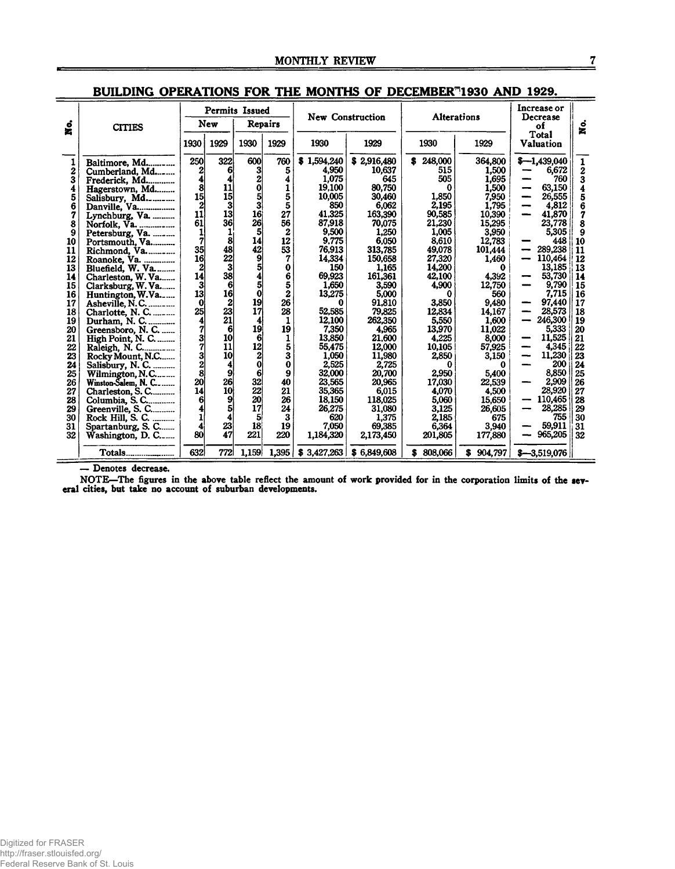|                  |                                     |                         | <b>Permits Issued</b> |                  |              |             | New Construction | Alterations  |               | Increase or<br>Decrease   |              |
|------------------|-------------------------------------|-------------------------|-----------------------|------------------|--------------|-------------|------------------|--------------|---------------|---------------------------|--------------|
| Š.               | <b>CITIES</b>                       |                         | New                   |                  | Repairs      |             |                  |              |               |                           | ខ្ពុំ        |
|                  |                                     | 1930                    | 1929                  | 1930             | 1929         | 1930        | 1929             | 1930         | 1929          | Total<br><b>Valuation</b> |              |
|                  | Baltimore, Md                       | 250                     | 322                   | 600              | 760          | \$1,594,240 | \$2,916,480      | 248,000<br>s | 364,800       | $$-1,439,040$             | $\mathbf{1}$ |
| $\boldsymbol{2}$ | Cumberland, Md                      | $\mathbf{2}$            | 6                     | 3                | 5            | 4,950       | 10,637           | 515          | 1,500         | 6,672                     | 2            |
| 3                | Frederick, Md                       | 4                       | 4                     | $\mathbf{z}$     | 4            | 1.075       | 645              | 505          | 1,695         | 760                       | 3            |
| 4                | Hagerstown, Md                      | 8                       | 11                    | $\mathbf 0$      | 1            | 19,100      | 80,750           | 0            | 1,500         | 63,150                    | 4            |
| 5                | Salisbury, Md                       | 15                      | 15 <sup>1</sup>       | 5                | 5            | 10,005      | 30,460           | 1,850        | 7,950         | 26,555                    | 5            |
| 6                | Danville, Va                        |                         | 3                     | $\mathbf{3}$     | 5            | 850         | 6,062            | 2,195        | 1,795         | 4,812                     | 6            |
| 7                | Lynchburg, Va.                      | 11                      | 13                    | 16               | 27           | 41.325      | 163,390          | 90,585       | 10,390        | 41,870                    | 7            |
| 8                | Norfolk, Va.                        | 61                      | 36                    | 26               | 56           | 87.918      | 70,075           | 21.230       | 15,295        | 23.778                    | 8            |
| 9                | Petersburg, Va.                     | 1                       |                       | 5                | $\mathbf{2}$ | 9,500       | 1,250            | 1,005        | 3,950         | 5,305                     | 9            |
| 10               | Portsmouth, Va                      | 7                       | 8                     | 14               | 12           | 9,775       | 6,050            | 8,610        | 12,783        | 448                       | 10           |
| 11               | Richmond, Va.                       | 35                      | 48                    | 42               | 53           | 76,913      | 313,785          | 49,078       | 101,444       | 289,238                   | 11           |
| 12               | Roanoke, Va.                        | 16                      | 22                    | 9                | 7            | 14,334      | 150,658          | 27,320       | 1,460         | 110,464                   | 12           |
| 13               | Bluefield, W. Va                    | $\overline{2}$          | 3                     | 5                | 0            | 150         | 1,165            | 14.200       | 0             | 13.185                    | 13           |
| 14               | Charleston, W. Va                   | 14                      | 38                    | 4                | 6            | 69,923      | 161,361          | 42,100       | 4,392         | 53,730                    | 14           |
| 15               | Clarksburg, W. Va                   | 3                       | 6                     | 5                | 5            | 1.650       | 3,590            | 4,900        | 12,750        | 9.790                     | 15           |
| 16               | Huntington, W.Va                    | 13                      | 16                    | $\bf{0}$         | $\bf{z}$     | 13,275      | 5,000            | 0            | 560           | 7,715                     | 16           |
| 17               | Asheville, N.C.                     | 0                       | $\mathbf{2}$          | 19               | 26           | 0           | 91.810           | 3,850        | 9,480         | 97,440                    | 17           |
| 18               | Charlotte, N. C.                    | 25                      | 23                    | 17               | 28           | 52.585      | 79.825           | 12.834       | 14,167        | 28,573                    | 18           |
| 19               | Durham, N. C.                       | $\overline{\mathbf{A}}$ | 21                    | 4                | 1            | 12,100      | 262,350          | 5,550        | 1,600         | 246,300                   | 19           |
| 20               | Greensboro, N. C.                   | 7                       | 6                     | 19               | 19           | 7,350       | 4,965            | 13.970       | 11,022        | 5,333                     | 20           |
| 21               | High Point, N. C.<br>Raleigh, N. C. | $\frac{3}{7}$           | 10                    | 6                | 1            | 13,850      | 21.600           | 4.225        | 8,000         | 11,525                    | 21           |
| 22               |                                     |                         | 11                    | 12               | 5            | 55,475      | 12,000           | 10,105       | 57,925        | 4,345                     | 22           |
| 23               | Rocky Mount, N.C                    | 3                       | 10                    | $\boldsymbol{2}$ | 3            | 1.050       | 11,980           | 2,850        | 3,150         | 11,230<br>--              | 23           |
| 24               | Salisbury, N. C.                    | $\overline{2}$          | 4                     | $\bf{0}$         | 0            | 2,525       | 2,725            | 0            |               | 200                       | 24           |
| 25               | Wilmington, N.C                     | 8                       | 9                     | 6                | 9            | 32,000      | 20,700           | 2,950        | 5,400         | 8,850                     | 25           |
| 26               | Winston-Salem, N. C                 | 20                      | 26                    | 32               | 40           | 23,565      | 20,965           | 17.030       | 22,539        | 2.909                     | 26           |
| 27               | Charleston, S. C                    | 14                      | 10                    | 22               | 21           | 35,365      | 6,015            | 4.070        | 4,500         | 28,920                    | 27           |
| 28               | Columbia, S. C                      | 6                       | 9                     | 20               | 26           | 18.150      | 118,025          | 5,060        | 15,650        | 110,465                   | 28           |
| 29               | Greenville, S. C                    |                         | 5                     | 17               | 24           | 26,275      | 31,080           | 3,125        | 26,605        | 28.285                    | 29           |
| 30               | Rock Hill, S. C.                    |                         | 4                     | 5                | 3            | 620         | 1,375            | 2,185        | 675           | 755                       | 30           |
| 31               | Spartanburg, S. C                   |                         | 23                    | 18               | 19           | 7.050       | 69,385           | 6.364        | 3,940         | 59.911                    | 31           |
| 32               | Washington, D. C                    | 80                      | 47                    | 221              | 220          | 1,184,320   | 2,173,450        | 201,805      | 177,880       | 965,205                   | 32           |
|                  | Totals                              | 632                     | 772                   | 1,159            | 1.395        | \$3,427,263 | \$6,849,608      | 808,066<br>S | 904,797<br>S. | $$-3.519.076$             |              |

# BUILDING OPERATIONS FOR THE MONTHS OF DECEMBER<sup>®</sup>1930 AND 1929.

— Denotes decrease.<br>NOTE—The figures in the above table reflect the amount of work provided for in the corporation limits of the sev-<br>eral cities, but take no account of suburban developments.